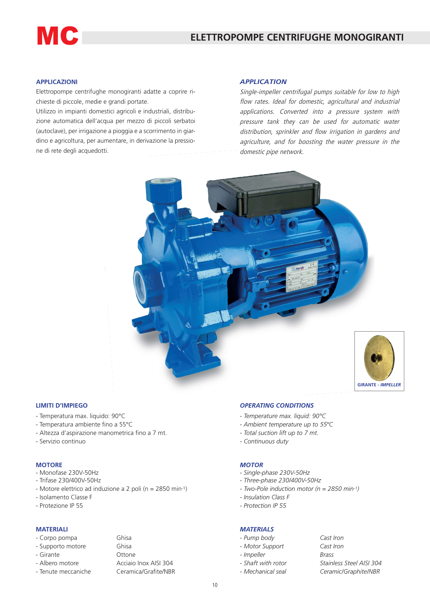# **MC**

## **APPLICAZIONI**

Elettropompe centrifughe monogiranti adatte a coprire richieste di piccole, medie e grandi portate.

Utilizzo in impianti domestici agricoli e industriali, distribuzione automatica dell'acqua per mezzo di piccoli serbatoi (autoclave), per irrigazione a pioggia e a scorrimento in giardino e agricoltura, per aumentare, in derivazione la pressione di rete degli acquedotti.

#### *APPLICATION*

Single-impeller centrifugal pumps suitable for low to high flow rates. Ideal for domestic, agricultural and industrial applications. Converted into a pressure system with pressure tank they can be used for automatic water distribution, sprinkler and flow irrigation in gardens and agriculture, and for boosting the water pressure in the domestic pipe network.



#### **LIMITI D'IMPIEGO**

- Temperatura max. liquido: 90°C
- Temperatura ambiente fino a 55°C
- Altezza d'aspirazione manometrica fino a 7 mt.
- Servizio continuo

#### **MOTORE**

- Monofase 230V-50Hz
- Trifase 230/400V-50Hz
- Motore elettrico ad induzione a 2 poli (n = 2850 min-1)

Ghisa

- Isolamento Classe F
- Protezione IP 55

#### **MATERIALI**

#### - Corpo pompa Ghisa

|  | - Supporto motore |  |
|--|-------------------|--|
|--|-------------------|--|

- Girante Ottone
- 
- 

- Albero motore **Acciaio Inox AISI 304** - Tenute meccaniche Ceramica/Grafite/NBR

#### *OPERATING CONDITIONS*

- *- Temperature max. liquid: 90°C*
- *Ambient temperature up to* 55*°C*
- *- Total suction lift up to 7 mt.*
- *Continuous duty*

#### *MOTOR*

- *Single-phase 230V-50Hz*
- *Three-phase 230/400V-50Hz*
- *Two-Pole induction motor (n = 2850 min-1)*
- *Insulation Class F*
- *Protection IP 55*

### *MATERIALS*

- *Pump body Cast Iron*
- *Motor Support Cast Iron*
- *Impeller Brass*
- 
- 
- *Shaft with rotor Stainless Steel AISI 304 - Mechanical seal Ceramic/Graphite/NBR*